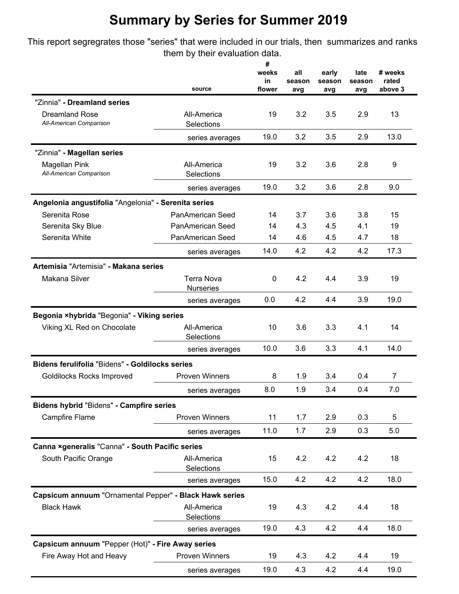This report segregrates those "series" that were included in our trials, then summarizes and ranks them by their evaluation data.

|                                                         | source                                | #<br>weeks<br>in<br>flower | all<br>season<br>avg | early<br>season<br>avg | late<br>season<br>avg | # weeks<br>rated<br>above 3 |
|---------------------------------------------------------|---------------------------------------|----------------------------|----------------------|------------------------|-----------------------|-----------------------------|
| "Zinnia" - Dreamland series                             |                                       |                            |                      |                        |                       |                             |
| <b>Dreamland Rose</b><br>All-American Comparison        | All-America<br>Selections             | 19                         | 3.2                  | 3.5                    | 2.9                   | 13                          |
|                                                         | series averages                       | 19.0                       | 3.2                  | 3.5                    | 2.9                   | 13.0                        |
| "Zinnia" - Magellan series                              |                                       |                            |                      |                        |                       |                             |
| Magellan Pink<br>All-American Comparison                | All-America<br>Selections             | 19                         | 3.2                  | 3.6                    | 2.8                   | 9                           |
|                                                         | series averages                       | 19.0                       | 3.2                  | 3.6                    | 2.8                   | 9.0                         |
| Angelonia angustifolia "Angelonia" - Serenita series    |                                       |                            |                      |                        |                       |                             |
| Serenita Rose                                           | PanAmerican Seed                      | 14                         | 3.7                  | 3.6                    | 3.8                   | 15                          |
| Serenita Sky Blue                                       | PanAmerican Seed                      | 14                         | 4.3                  | 4.5                    | 4.1                   | 19                          |
| Serenita White                                          | PanAmerican Seed                      | 14                         | 4.6                  | 4.5                    | 4.7                   | 18                          |
|                                                         | series averages                       | 14.0                       | 4.2                  | 4.2                    | 4.2                   | 17.3                        |
| Artemisia "Artemisia" - Makana series                   |                                       |                            |                      |                        |                       |                             |
| Makana Silver                                           | <b>Terra Nova</b><br><b>Nurseries</b> | 0                          | 4.2                  | 4.4                    | 3.9                   | 19                          |
|                                                         | series averages                       | 0.0                        | 4.2                  | 4.4                    | 3.9                   | 19.0                        |
| Begonia ×hybrida "Begonia" - Viking series              |                                       |                            |                      |                        |                       |                             |
| Viking XL Red on Chocolate                              | All-America<br>Selections             | 10                         | 3.6                  | 3.3                    | 4.1                   | 14                          |
|                                                         | series averages                       | 10.0                       | 3.6                  | 3.3                    | 4.1                   | 14.0                        |
| Bidens ferulifolia "Bidens" - Goldilocks series         |                                       |                            |                      |                        |                       |                             |
| Goldilocks Rocks Improved                               | <b>Proven Winners</b>                 | 8                          | 1.9                  | 3.4                    | 0.4                   | 7                           |
|                                                         | series averages                       | 8.0                        | 1.9                  | 3.4                    | 0.4                   | 7.0                         |
| Bidens hybrid "Bidens" - Campfire series                |                                       |                            |                      |                        |                       |                             |
| Campfire Flame                                          | Proven Winners                        | 11                         | 1.7                  | 2.9                    | 0.3                   | 5                           |
|                                                         | series averages                       | 11.0                       | 1.7                  | 2.9                    | 0.3                   | 5.0                         |
|                                                         |                                       |                            |                      |                        |                       |                             |
| Canna ×generalis "Canna" - South Pacific series         |                                       |                            |                      |                        |                       |                             |
| South Pacific Orange                                    | All-America<br>Selections             | 15                         | 4.2                  | 4.2                    | 4.2                   | 18                          |
|                                                         | series averages                       | 15.0                       | 4.2                  | 4.2                    | 4.2                   | 18.0                        |
| Capsicum annuum "Ornamental Pepper" - Black Hawk series |                                       |                            |                      |                        |                       |                             |
| <b>Black Hawk</b>                                       | All-America                           | 19                         | 4.3                  | 4.2                    | 4.4                   | 18                          |
|                                                         | Selections                            |                            |                      |                        |                       |                             |
|                                                         | series averages                       | 19.0                       | 4.3                  | 4.2                    | 4.4                   | 18.0                        |
| Capsicum annuum "Pepper (Hot)" - Fire Away series       |                                       |                            |                      |                        |                       |                             |
| Fire Away Hot and Heavy                                 | <b>Proven Winners</b>                 | 19                         | 4.3                  | 4.2                    | 4.4                   | 19                          |
|                                                         | series averages                       | 19.0                       | 4.3                  | 4.2                    | 4.4                   | 19.0                        |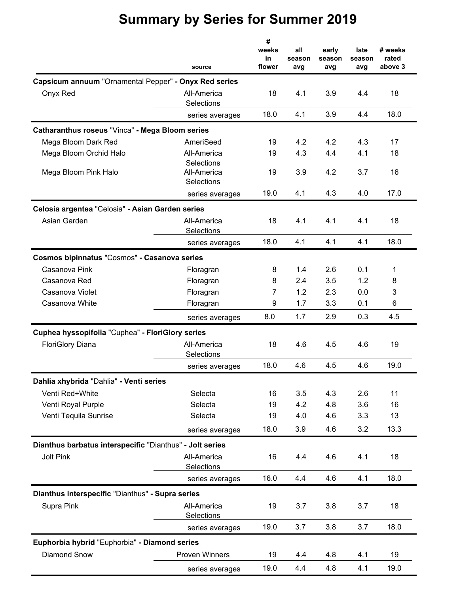|                                                          | source                                  | #<br>weeks<br>in<br>flower | all<br>season<br>avg | early<br>season<br>avg | late<br>season<br>avg | # weeks<br>rated<br>above 3 |
|----------------------------------------------------------|-----------------------------------------|----------------------------|----------------------|------------------------|-----------------------|-----------------------------|
| Capsicum annuum "Ornamental Pepper" - Onyx Red series    |                                         |                            |                      |                        |                       |                             |
| Onyx Red                                                 | All-America<br>Selections               | 18                         | 4.1                  | 3.9                    | 4.4                   | 18                          |
|                                                          | series averages                         | 18.0                       | 4.1                  | 3.9                    | 4.4                   | 18.0                        |
| Catharanthus roseus "Vinca" - Mega Bloom series          |                                         |                            |                      |                        |                       |                             |
| Mega Bloom Dark Red                                      | AmeriSeed                               | 19                         | 4.2                  | 4.2                    | 4.3                   | 17                          |
| Mega Bloom Orchid Halo                                   | All-America                             | 19                         | 4.3                  | 4.4                    | 4.1                   | 18                          |
| Mega Bloom Pink Halo                                     | Selections<br>All-America<br>Selections | 19                         | 3.9                  | 4.2                    | 3.7                   | 16                          |
|                                                          | series averages                         | 19.0                       | 4.1                  | 4.3                    | 4.0                   | 17.0                        |
| Celosia argentea "Celosia" - Asian Garden series         |                                         |                            |                      |                        |                       |                             |
| Asian Garden                                             | All-America<br>Selections               | 18                         | 4.1                  | 4.1                    | 4.1                   | 18                          |
|                                                          | series averages                         | 18.0                       | 4.1                  | 4.1                    | 4.1                   | 18.0                        |
| Cosmos bipinnatus "Cosmos" - Casanova series             |                                         |                            |                      |                        |                       |                             |
| Casanova Pink                                            | Floragran                               | 8                          | 1.4                  | 2.6                    | 0.1                   | 1                           |
| Casanova Red                                             | Floragran                               | 8                          | 2.4                  | 3.5                    | 1.2                   | 8                           |
| Casanova Violet                                          | Floragran                               | $\overline{7}$             | 1.2                  | 2.3                    | 0.0                   | 3                           |
| Casanova White                                           | Floragran                               | 9                          | 1.7                  | 3.3                    | 0.1                   | 6                           |
|                                                          | series averages                         | 8.0                        | 1.7                  | 2.9                    | 0.3                   | 4.5                         |
| Cuphea hyssopifolia "Cuphea" - FloriGlory series         |                                         |                            |                      |                        |                       |                             |
| <b>FloriGlory Diana</b>                                  | All-America<br>Selections               | 18                         | 4.6                  | 4.5                    | 4.6                   | 19                          |
|                                                          | series averages                         | 18.0                       | 4.6                  | 4.5                    | 4.6                   | 19.0                        |
| Dahlia xhybrida "Dahlia" - Venti series                  |                                         |                            |                      |                        |                       |                             |
| Venti Red+White                                          | Selecta                                 | 16                         | 3.5                  | 4.3                    | 2.6                   | 11                          |
| Venti Royal Purple                                       | Selecta                                 | 19                         | 4.2                  | 4.8                    | 3.6                   | 16                          |
| Venti Tequila Sunrise                                    | Selecta                                 | 19                         | 4.0                  | 4.6                    | 3.3                   | 13                          |
|                                                          | series averages                         | 18.0                       | 3.9                  | 4.6                    | 3.2                   | 13.3                        |
| Dianthus barbatus interspecific "Dianthus" - Jolt series |                                         |                            |                      |                        |                       |                             |
| <b>Jolt Pink</b>                                         | All-America<br>Selections               | 16                         | 4.4                  | 4.6                    | 4.1                   | 18                          |
|                                                          | series averages                         | 16.0                       | 4.4                  | 4.6                    | 4.1                   | 18.0                        |
| Dianthus interspecific "Dianthus" - Supra series         |                                         |                            |                      |                        |                       |                             |
| Supra Pink                                               | All-America<br>Selections               | 19                         | 3.7                  | 3.8                    | 3.7                   | 18                          |
|                                                          | series averages                         | 19.0                       | 3.7                  | 3.8                    | 3.7                   | 18.0                        |
| Euphorbia hybrid "Euphorbia" - Diamond series            |                                         |                            |                      |                        |                       |                             |
| <b>Diamond Snow</b>                                      | <b>Proven Winners</b>                   | 19                         | 4.4                  | 4.8                    | 4.1                   | 19                          |
|                                                          | series averages                         | 19.0                       | 4.4                  | 4.8                    | 4.1                   | 19.0                        |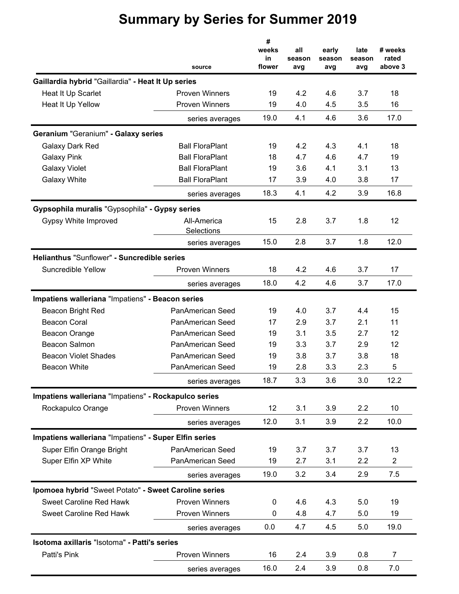|                                                       | source                    | #<br>weeks<br>in<br>flower | all<br>season<br>avg | early<br>season<br>avg | late<br>season<br>avg | # weeks<br>rated<br>above 3 |
|-------------------------------------------------------|---------------------------|----------------------------|----------------------|------------------------|-----------------------|-----------------------------|
| Gaillardia hybrid "Gaillardia" - Heat It Up series    |                           |                            |                      |                        |                       |                             |
| Heat It Up Scarlet                                    | <b>Proven Winners</b>     | 19                         | 4.2                  | 4.6                    | 3.7                   | 18                          |
| Heat It Up Yellow                                     | <b>Proven Winners</b>     | 19                         | 4.0                  | 4.5                    | 3.5                   | 16                          |
|                                                       | series averages           | 19.0                       | 4.1                  | 4.6                    | 3.6                   | 17.0                        |
| Geranium "Geranium" - Galaxy series                   |                           |                            |                      |                        |                       |                             |
| Galaxy Dark Red                                       | <b>Ball FloraPlant</b>    | 19                         | 4.2                  | 4.3                    | 4.1                   | 18                          |
| <b>Galaxy Pink</b>                                    | <b>Ball FloraPlant</b>    | 18                         | 4.7                  | 4.6                    | 4.7                   | 19                          |
| <b>Galaxy Violet</b>                                  | <b>Ball FloraPlant</b>    | 19                         | 3.6                  | 4.1                    | 3.1                   | 13                          |
| <b>Galaxy White</b>                                   | <b>Ball FloraPlant</b>    | 17                         | 3.9                  | 4.0                    | 3.8                   | 17                          |
|                                                       | series averages           | 18.3                       | 4.1                  | 4.2                    | 3.9                   | 16.8                        |
| Gypsophila muralis "Gypsophila" - Gypsy series        |                           |                            |                      |                        |                       |                             |
| Gypsy White Improved                                  | All-America<br>Selections | 15                         | 2.8                  | 3.7                    | 1.8                   | 12                          |
|                                                       | series averages           | 15.0                       | 2.8                  | 3.7                    | 1.8                   | 12.0                        |
| Helianthus "Sunflower" - Suncredible series           |                           |                            |                      |                        |                       |                             |
| Suncredible Yellow                                    | <b>Proven Winners</b>     | 18                         | 4.2                  | 4.6                    | 3.7                   | 17                          |
|                                                       | series averages           | 18.0                       | 4.2                  | 4.6                    | 3.7                   | 17.0                        |
| Impatiens walleriana "Impatiens" - Beacon series      |                           |                            |                      |                        |                       |                             |
| Beacon Bright Red                                     | PanAmerican Seed          | 19                         | 4.0                  | 3.7                    | 4.4                   | 15                          |
| <b>Beacon Coral</b>                                   | PanAmerican Seed          | 17                         | 2.9                  | 3.7                    | 2.1                   | 11                          |
| Beacon Orange                                         | PanAmerican Seed          | 19                         | 3.1                  | 3.5                    | 2.7                   | 12                          |
| Beacon Salmon                                         | PanAmerican Seed          | 19                         | 3.3                  | 3.7                    | 2.9                   | 12                          |
| <b>Beacon Violet Shades</b>                           | <b>PanAmerican Seed</b>   | 19                         | 3.8                  | 3.7                    | 3.8                   | 18                          |
| <b>Beacon White</b>                                   | PanAmerican Seed          | 19                         | 2.8                  | 3.3                    | 2.3                   | 5                           |
|                                                       | series averages           | 18.7                       | 3.3                  | 3.6                    | 3.0                   | 12.2                        |
| Impatiens walleriana "Impatiens" - Rockapulco series  |                           |                            |                      |                        |                       |                             |
| Rockapulco Orange                                     | <b>Proven Winners</b>     | 12                         | 3.1                  | 3.9                    | 2.2                   | 10                          |
|                                                       | series averages           | 12.0                       | 3.1                  | 3.9                    | 2.2                   | 10.0                        |
| Impatiens walleriana "Impatiens" - Super Elfin series |                           |                            |                      |                        |                       |                             |
| Super Elfin Orange Bright                             | PanAmerican Seed          | 19                         | 3.7                  | 3.7                    | 3.7                   | 13                          |
| Super Elfin XP White                                  | PanAmerican Seed          | 19                         | 2.7                  | 3.1                    | 2.2                   | $\overline{2}$              |
|                                                       | series averages           | 19.0                       | 3.2                  | 3.4                    | 2.9                   | 7.5                         |
| Ipomoea hybrid "Sweet Potato" - Sweet Caroline series |                           |                            |                      |                        |                       |                             |
| <b>Sweet Caroline Red Hawk</b>                        | <b>Proven Winners</b>     | 0                          | 4.6                  | 4.3                    | 5.0                   | 19                          |
| <b>Sweet Caroline Red Hawk</b>                        | <b>Proven Winners</b>     | 0                          | 4.8                  | 4.7                    | 5.0                   | 19                          |
|                                                       | series averages           | 0.0                        | 4.7                  | 4.5                    | 5.0                   | 19.0                        |
| Isotoma axillaris "Isotoma" - Patti's series          |                           |                            |                      |                        |                       |                             |
| Patti's Pink                                          | <b>Proven Winners</b>     | 16                         | 2.4                  | 3.9                    | 0.8                   | 7                           |
|                                                       | series averages           | 16.0                       | 2.4                  | 3.9                    | 0.8                   | 7.0                         |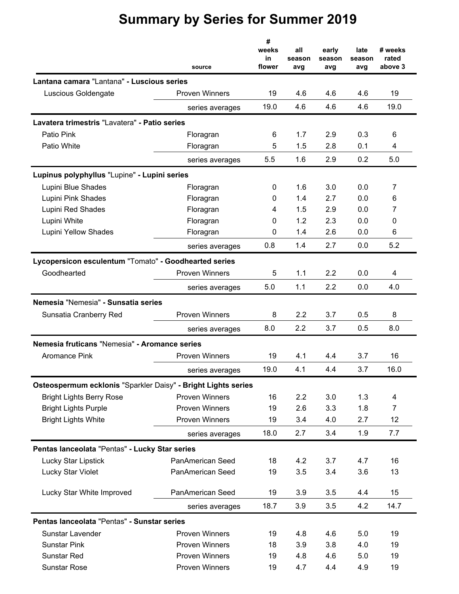|                                                               | source                | #<br>weeks<br>in<br>flower | all<br>season<br>avg | early<br>season<br>avg | late<br>season<br>avg | # weeks<br>rated<br>above 3 |
|---------------------------------------------------------------|-----------------------|----------------------------|----------------------|------------------------|-----------------------|-----------------------------|
| Lantana camara "Lantana" - Luscious series                    |                       |                            |                      |                        |                       |                             |
| Luscious Goldengate                                           | <b>Proven Winners</b> | 19                         | 4.6                  | 4.6                    | 4.6                   | 19                          |
|                                                               | series averages       | 19.0                       | 4.6                  | 4.6                    | 4.6                   | 19.0                        |
| Lavatera trimestris "Lavatera" - Patio series                 |                       |                            |                      |                        |                       |                             |
| Patio Pink                                                    | Floragran             | 6                          | 1.7                  | 2.9                    | 0.3                   | 6                           |
| Patio White                                                   | Floragran             | 5                          | 1.5                  | 2.8                    | 0.1                   | 4                           |
|                                                               | series averages       | 5.5                        | 1.6                  | 2.9                    | 0.2                   | 5.0                         |
| Lupinus polyphyllus "Lupine" - Lupini series                  |                       |                            |                      |                        |                       |                             |
| Lupini Blue Shades                                            | Floragran             | 0                          | 1.6                  | 3.0                    | 0.0                   | 7                           |
| Lupini Pink Shades                                            | Floragran             | 0                          | 1.4                  | 2.7                    | 0.0                   | 6                           |
| Lupini Red Shades                                             | Floragran             | 4                          | 1.5                  | 2.9                    | 0.0                   | 7                           |
| Lupini White                                                  | Floragran             | 0                          | 1.2                  | 2.3                    | 0.0                   | 0                           |
| Lupini Yellow Shades                                          | Floragran             | 0                          | 1.4                  | 2.6                    | 0.0                   | $6\phantom{1}6$             |
|                                                               | series averages       | 0.8                        | 1.4                  | 2.7                    | 0.0                   | 5.2                         |
| Lycopersicon esculentum "Tomato" - Goodhearted series         |                       |                            |                      |                        |                       |                             |
| Goodhearted                                                   | <b>Proven Winners</b> | 5                          | 1.1                  | 2.2                    | 0.0                   | 4                           |
|                                                               | series averages       | 5.0                        | 1.1                  | 2.2                    | 0.0                   | 4.0                         |
| Nemesia "Nemesia" - Sunsatia series                           |                       |                            |                      |                        |                       |                             |
| Sunsatia Cranberry Red                                        | <b>Proven Winners</b> | 8                          | 2.2                  | 3.7                    | 0.5                   | 8                           |
|                                                               | series averages       | 8.0                        | 2.2                  | 3.7                    | 0.5                   | 8.0                         |
| Nemesia fruticans "Nemesia" - Aromance series                 |                       |                            |                      |                        |                       |                             |
| <b>Aromance Pink</b>                                          | <b>Proven Winners</b> | 19                         | 4.1                  | 4.4                    | 3.7                   | 16                          |
|                                                               | series averages       | 19.0                       | 4.1                  | 4.4                    | 3.7                   | 16.0                        |
| Osteospermum ecklonis "Sparkler Daisy" - Bright Lights series |                       |                            |                      |                        |                       |                             |
| <b>Bright Lights Berry Rose</b>                               | <b>Proven Winners</b> | 16                         | 2.2                  | 3.0                    | 1.3                   | 4                           |
| <b>Bright Lights Purple</b>                                   | <b>Proven Winners</b> | 19                         | 2.6                  | 3.3                    | 1.8                   | $\overline{7}$              |
| <b>Bright Lights White</b>                                    | <b>Proven Winners</b> | 19                         | 3.4                  | 4.0                    | 2.7                   | 12                          |
|                                                               | series averages       | 18.0                       | 2.7                  | 3.4                    | 1.9                   | 7.7                         |
| Pentas lanceolata "Pentas" - Lucky Star series                |                       |                            |                      |                        |                       |                             |
| Lucky Star Lipstick                                           | PanAmerican Seed      | 18                         | 4.2                  | 3.7                    | 4.7                   | 16                          |
| Lucky Star Violet                                             | PanAmerican Seed      | 19                         | 3.5                  | 3.4                    | 3.6                   | 13                          |
|                                                               |                       |                            |                      |                        |                       |                             |
| Lucky Star White Improved                                     | PanAmerican Seed      | 19                         | 3.9                  | 3.5                    | 4.4                   | 15                          |
|                                                               | series averages       | 18.7                       | 3.9                  | 3.5                    | 4.2                   | 14.7                        |
| Pentas lanceolata "Pentas" - Sunstar series                   |                       |                            |                      |                        |                       |                             |
| Sunstar Lavender                                              | <b>Proven Winners</b> | 19                         | 4.8                  | 4.6                    | 5.0                   | 19                          |
| <b>Sunstar Pink</b>                                           | <b>Proven Winners</b> | 18                         | 3.9                  | 3.8                    | 4.0                   | 19                          |
| <b>Sunstar Red</b>                                            | <b>Proven Winners</b> | 19                         | 4.8                  | 4.6                    | 5.0                   | 19                          |
| <b>Sunstar Rose</b>                                           | <b>Proven Winners</b> | 19                         | 4.7                  | 4.4                    | 4.9                   | 19                          |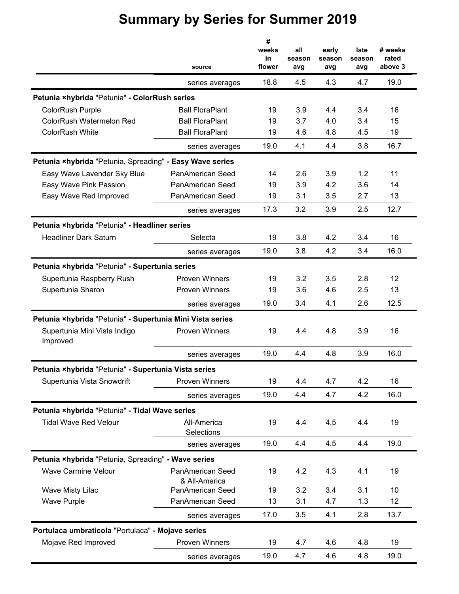|                                                           | source                                   | #<br>weeks<br>in<br>flower | all<br>season<br>avg | early<br>season<br>avg | late<br>season<br>avg | # weeks<br>rated<br>above 3 |
|-----------------------------------------------------------|------------------------------------------|----------------------------|----------------------|------------------------|-----------------------|-----------------------------|
|                                                           | series averages                          | 18.8                       | 4.5                  | 4.3                    | 4.7                   | 19.0                        |
| Petunia ×hybrida "Petunia" - ColorRush series             |                                          |                            |                      |                        |                       |                             |
| ColorRush Purple                                          | <b>Ball FloraPlant</b>                   | 19                         | 3.9                  | 4.4                    | 3.4                   | 16                          |
| <b>ColorRush Watermelon Red</b>                           | <b>Ball FloraPlant</b>                   | 19                         | 3.7                  | 4.0                    | 3.4                   | 15                          |
| <b>ColorRush White</b>                                    | <b>Ball FloraPlant</b>                   | 19                         | 4.6                  | 4.8                    | 4.5                   | 19                          |
|                                                           | series averages                          | 19.0                       | 4.1                  | 4.4                    | 3.8                   | 16.7                        |
| Petunia xhybrida "Petunia, Spreading" - Easy Wave series  |                                          |                            |                      |                        |                       |                             |
| Easy Wave Lavender Sky Blue                               | PanAmerican Seed                         | 14                         | 2.6                  | 3.9                    | 1.2                   | 11                          |
| Easy Wave Pink Passion                                    | PanAmerican Seed                         | 19                         | 3.9                  | 4.2                    | 3.6                   | 14                          |
| Easy Wave Red Improved                                    | PanAmerican Seed                         | 19                         | 3.1                  | 3.5                    | 2.7                   | 13                          |
|                                                           | series averages                          | 17.3                       | 3.2                  | 3.9                    | 2.5                   | 12.7                        |
| Petunia ×hybrida "Petunia" - Headliner series             |                                          |                            |                      |                        |                       |                             |
| <b>Headliner Dark Saturn</b>                              | Selecta                                  | 19                         | 3.8                  | 4.2                    | 3.4                   | 16                          |
|                                                           | series averages                          | 19.0                       | 3.8                  | 4.2                    | 3.4                   | 16.0                        |
| Petunia ×hybrida "Petunia" - Supertunia series            |                                          |                            |                      |                        |                       |                             |
| Supertunia Raspberry Rush                                 | <b>Proven Winners</b>                    | 19                         | 3.2                  | 3.5                    | 2.8                   | 12                          |
| Supertunia Sharon                                         | <b>Proven Winners</b>                    | 19                         | 3.6                  | 4.6                    | 2.5                   | 13                          |
|                                                           | series averages                          | 19.0                       | 3.4                  | 4.1                    | 2.6                   | 12.5                        |
| Petunia ×hybrida "Petunia" - Supertunia Mini Vista series |                                          |                            |                      |                        |                       |                             |
| Supertunia Mini Vista Indigo<br>Improved                  | <b>Proven Winners</b>                    | 19                         | 4.4                  | 4.8                    | 3.9                   | 16                          |
|                                                           | series averages                          | 19.0                       | 4.4                  | 4.8                    | 3.9                   | 16.0                        |
| Petunia ×hybrida "Petunia" - Supertunia Vista series      |                                          |                            |                      |                        |                       |                             |
| Supertunia Vista Snowdrift                                | <b>Proven Winners</b>                    | 19                         | 4.4                  | 4.7                    | 4.2                   | 16                          |
|                                                           | series averages                          | 19.0                       | 4.4                  | 4.7                    | 4.2                   | 16.0                        |
| Petunia ×hybrida "Petunia" - Tidal Wave series            |                                          |                            |                      |                        |                       |                             |
| <b>Tidal Wave Red Velour</b>                              | All-America<br>Selections                | 19                         | 4.4                  | 4.5                    | 4.4                   | 19                          |
|                                                           | series averages                          | 19.0                       | 4.4                  | 4.5                    | 4.4                   | 19.0                        |
| Petunia ×hybrida "Petunia, Spreading" - Wave series       |                                          |                            |                      |                        |                       |                             |
| <b>Wave Carmine Velour</b>                                | <b>PanAmerican Seed</b><br>& All-America | 19                         | 4.2                  | 4.3                    | 4.1                   | 19                          |
| Wave Misty Lilac                                          | PanAmerican Seed                         | 19                         | 3.2                  | 3.4                    | 3.1                   | 10                          |
| <b>Wave Purple</b>                                        | PanAmerican Seed                         | 13                         | 3.1                  | 4.7                    | 1.3                   | 12                          |
|                                                           | series averages                          | 17.0                       | 3.5                  | 4.1                    | 2.8                   | 13.7                        |
| Portulaca umbraticola "Portulaca" - Mojave series         |                                          |                            |                      |                        |                       |                             |
| Mojave Red Improved                                       | <b>Proven Winners</b>                    | 19                         | 4.7                  | 4.6                    | 4.8                   | 19                          |
|                                                           | series averages                          | 19.0                       | 4.7                  | 4.6                    | 4.8                   | 19.0                        |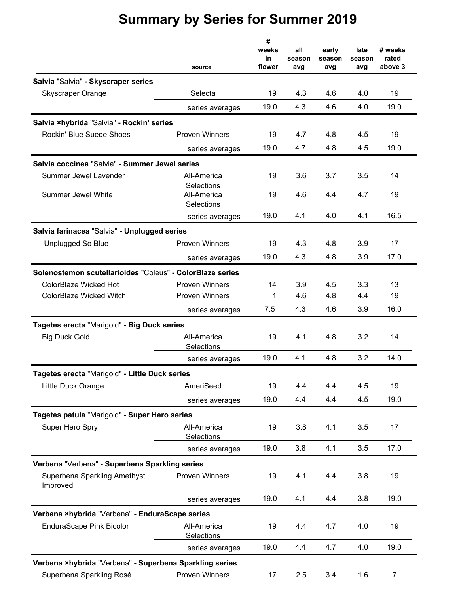|                                                           | source                    | #<br>weeks<br>in<br>flower | all<br>season<br>avg | early<br>season<br>avg | late<br>season<br>avg | # weeks<br>rated<br>above 3 |
|-----------------------------------------------------------|---------------------------|----------------------------|----------------------|------------------------|-----------------------|-----------------------------|
| Salvia "Salvia" - Skyscraper series                       |                           |                            |                      |                        |                       |                             |
| <b>Skyscraper Orange</b>                                  | Selecta                   | 19                         | 4.3                  | 4.6                    | 4.0                   | 19                          |
|                                                           | series averages           | 19.0                       | 4.3                  | 4.6                    | 4.0                   | 19.0                        |
| Salvia xhybrida "Salvia" - Rockin' series                 |                           |                            |                      |                        |                       |                             |
| <b>Rockin' Blue Suede Shoes</b>                           | <b>Proven Winners</b>     | 19                         | 4.7                  | 4.8                    | 4.5                   | 19                          |
|                                                           | series averages           | 19.0                       | 4.7                  | 4.8                    | 4.5                   | 19.0                        |
| Salvia coccinea "Salvia" - Summer Jewel series            |                           |                            |                      |                        |                       |                             |
| Summer Jewel Lavender                                     | All-America<br>Selections | 19                         | 3.6                  | 3.7                    | 3.5                   | 14                          |
| <b>Summer Jewel White</b>                                 | All-America<br>Selections | 19                         | 4.6                  | 4.4                    | 4.7                   | 19                          |
|                                                           | series averages           | 19.0                       | 4.1                  | 4.0                    | 4.1                   | 16.5                        |
| Salvia farinacea "Salvia" - Unplugged series              |                           |                            |                      |                        |                       |                             |
| <b>Unplugged So Blue</b>                                  | <b>Proven Winners</b>     | 19                         | 4.3                  | 4.8                    | 3.9                   | 17                          |
|                                                           | series averages           | 19.0                       | 4.3                  | 4.8                    | 3.9                   | 17.0                        |
| Solenostemon scutellarioides "Coleus" - ColorBlaze series |                           |                            |                      |                        |                       |                             |
| ColorBlaze Wicked Hot                                     | <b>Proven Winners</b>     | 14                         | 3.9                  | 4.5                    | 3.3                   | 13                          |
| ColorBlaze Wicked Witch                                   | <b>Proven Winners</b>     | 1                          | 4.6                  | 4.8                    | 4.4                   | 19                          |
|                                                           | series averages           | 7.5                        | 4.3                  | 4.6                    | 3.9                   | 16.0                        |
| Tagetes erecta "Marigold" - Big Duck series               |                           |                            |                      |                        |                       |                             |
| <b>Big Duck Gold</b>                                      | All-America<br>Selections | 19                         | 4.1                  | 4.8                    | 3.2                   | 14                          |
|                                                           | series averages           | 19.0                       | 4.1                  | 4.8                    | 3.2                   | 14.0                        |
| Tagetes erecta "Marigold" - Little Duck series            |                           |                            |                      |                        |                       |                             |
| Little Duck Orange                                        | AmeriSeed                 | 19                         | 4.4                  | 4.4                    | 4.5                   | 19                          |
|                                                           | series averages           | 19.0                       | 4.4                  | 4.4                    | 4.5                   | 19.0                        |
| Tagetes patula "Marigold" - Super Hero series             |                           |                            |                      |                        |                       |                             |
| Super Hero Spry                                           | All-America<br>Selections | 19                         | 3.8                  | 4.1                    | 3.5                   | 17                          |
|                                                           | series averages           | 19.0                       | 3.8                  | 4.1                    | 3.5                   | 17.0                        |
| Verbena "Verbena" - Superbena Sparkling series            |                           |                            |                      |                        |                       |                             |
| Superbena Sparkling Amethyst<br>Improved                  | <b>Proven Winners</b>     | 19                         | 4.1                  | 4.4                    | 3.8                   | 19                          |
|                                                           | series averages           | 19.0                       | 4.1                  | 4.4                    | 3.8                   | 19.0                        |
| Verbena ×hybrida "Verbena" - EnduraScape series           |                           |                            |                      |                        |                       |                             |
| <b>EnduraScape Pink Bicolor</b>                           | All-America<br>Selections | 19                         | 4.4                  | 4.7                    | 4.0                   | 19                          |
|                                                           | series averages           | 19.0                       | 4.4                  | 4.7                    | 4.0                   | 19.0                        |
| Verbena ×hybrida "Verbena" - Superbena Sparkling series   |                           |                            |                      |                        |                       |                             |
| Superbena Sparkling Rosé                                  | <b>Proven Winners</b>     | 17                         | 2.5                  | 3.4                    | 1.6                   | $\overline{7}$              |